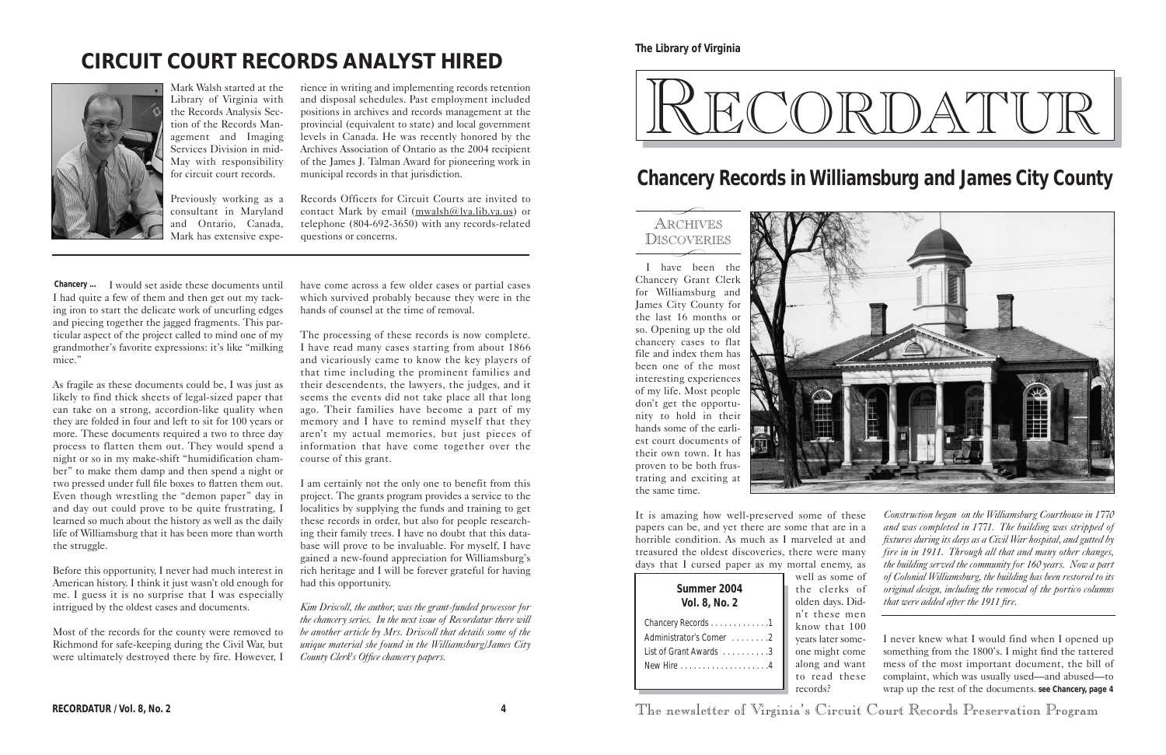I have been the Chancery Grant Clerk for Williamsburg and James City County for the last 16 months or so. Opening up the old chancery cases to flat file and index them has been one of the most interesting experiences of my life. Most people don't get the opportunity to hold in their hands some of the earliest court documents of their own town. It has proven to be both frustrating and exciting at the same time.



know that 100 years later someone might come along and want to read these records?

RECORDATUR / Vol. 8, No. 2 **4 4** The newsletter of Virginia's Circuit Court Records Preservation Program

# RECORDATUR

## ARCHIVES DISCOVERIES  $\overbrace{\phantom{aaaa}}^{\circ\bullet\bullet\bullet\bullet\bullet}$

 $\overline{\phantom{0}}$ 

**The Library of Virginia**

| Summer 2004<br>Vol. 8, No. 2 |
|------------------------------|
| Chancery Records 1           |
| Administrator's Corner 2     |
| List of Grant Awards 3       |
|                              |

Chancery ... I would set aside these documents until I had quite a few of them and then get out my tacking iron to start the delicate work of uncurling edges and piecing together the jagged fragments. This particular aspect of the project called to mind one of my grandmother's favorite expressions: it's like "milking mice."

# **CIRCUIT COURT RECORDS ANALYST HIRED**



Mark Walsh started at the Library of Virginia with the Records Analysis Section of the Records Management and Imaging Services Division in mid-May with responsibility for circuit court records.

Previously working as a consultant in Maryland and Ontario, Canada, Mark has extensive expe-

rience in writing and implementing records retention and disposal schedules. Past employment included positions in archives and records management at the provincial (equivalent to state) and local government levels in Canada. He was recently honored by the Archives Association of Ontario as the 2004 recipient of the James J. Talman Award for pioneering work in municipal records in that jurisdiction.

Records Officers for Circuit Courts are invited to contact Mark by email (mwalsh@lva.lib.va.us) or telephone (804-692-3650) with any records-related questions or concerns.

# **Chancery Records in Williamsburg and James City County**

It is amazing how well-preserved some of these papers can be, and yet there are some that are in a horrible condition. As much as I marveled at and treasured the oldest discoveries, there were many days that I cursed paper as my mortal enemy, as well as some of the clerks of olden days. Didn't these men **Summer 2004 Vol. 8, No. 2** *Construction began on the Williamsburg Courthouse in 1770 and was completed in 1771. The building was stripped of fixtures during its days as a Civil War hospital, and gutted by fire in in 1911. Through all that and many other changes, the building served the community for 160 years. Now a part of Colonial Williamsburg, the building has been restored to its original design, including the removal of the portico columns that were added after the 1911 fire.*

As fragile as these documents could be, I was just as likely to find thick sheets of legal-sized paper that can take on a strong, accordion-like quality when they are folded in four and left to sit for 100 years or more. These documents required a two to three day process to flatten them out. They would spend a night or so in my make-shift "humidification chamber" to make them damp and then spend a night or two pressed under full file boxes to flatten them out. Even though wrestling the "demon paper" day in and day out could prove to be quite frustrating, I learned so much about the history as well as the daily life of Williamsburg that it has been more than worth the struggle.

> I never knew what I would find when I opened up something from the 1800's. I might find the tattered mess of the most important document, the bill of complaint, which was usually used—and abused—to wrap up the rest of the documents. **see Chancery, page 4**

Before this opportunity, I never had much interest in American history. I think it just wasn't old enough for me. I guess it is no surprise that I was especially intrigued by the oldest cases and documents.

Most of the records for the county were removed to Richmond for safe-keeping during the Civil War, but were ultimately destroyed there by fire. However, I

have come across a few older cases or partial cases which survived probably because they were in the hands of counsel at the time of removal.

The processing of these records is now complete. I have read many cases starting from about 1866 and vicariously came to know the key players of that time including the prominent families and their descendents, the lawyers, the judges, and it seems the events did not take place all that long ago. Their families have become a part of my memory and I have to remind myself that they aren't my actual memories, but just pieces of information that have come together over the course of this grant.

I am certainly not the only one to benefit from this project. The grants program provides a service to the localities by supplying the funds and training to get these records in order, but also for people researching their family trees. I have no doubt that this database will prove to be invaluable. For myself, I have gained a new-found appreciation for Williamsburg's rich heritage and I will be forever grateful for having had this opportunity.

*Kim Driscoll, the author, was the grant-funded processor for the chancery series. In the next issue of Recordatur there will be another article by Mrs. Driscoll that details some of the unique material she found in the Williamsburg/James City County Clerk's Office chancery papers.*